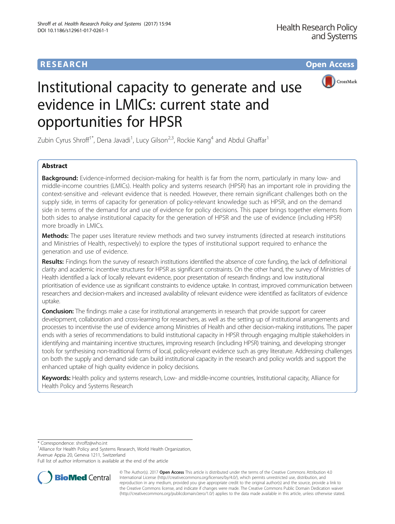## **RESEARCH CHE Open Access**



# Institutional capacity to generate and use evidence in LMICs: current state and opportunities for HPSR

Zubin Cyrus Shroff<sup>1\*</sup>, Dena Javadi<sup>1</sup>, Lucy Gilson<sup>2,3</sup>, Rockie Kang<sup>4</sup> and Abdul Ghaffar<sup>1</sup>

## Abstract

**Background:** Evidence-informed decision-making for health is far from the norm, particularly in many low- and middle-income countries (LMICs). Health policy and systems research (HPSR) has an important role in providing the context-sensitive and -relevant evidence that is needed. However, there remain significant challenges both on the supply side, in terms of capacity for generation of policy-relevant knowledge such as HPSR, and on the demand side in terms of the demand for and use of evidence for policy decisions. This paper brings together elements from both sides to analyse institutional capacity for the generation of HPSR and the use of evidence (including HPSR) more broadly in LMICs.

Methods: The paper uses literature review methods and two survey instruments (directed at research institutions and Ministries of Health, respectively) to explore the types of institutional support required to enhance the generation and use of evidence.

Results: Findings from the survey of research institutions identified the absence of core funding, the lack of definitional clarity and academic incentive structures for HPSR as significant constraints. On the other hand, the survey of Ministries of Health identified a lack of locally relevant evidence, poor presentation of research findings and low institutional prioritisation of evidence use as significant constraints to evidence uptake. In contrast, improved communication between researchers and decision-makers and increased availability of relevant evidence were identified as facilitators of evidence uptake.

Conclusion: The findings make a case for institutional arrangements in research that provide support for career development, collaboration and cross-learning for researchers, as well as the setting up of institutional arrangements and processes to incentivise the use of evidence among Ministries of Health and other decision-making institutions. The paper ends with a series of recommendations to build institutional capacity in HPSR through engaging multiple stakeholders in identifying and maintaining incentive structures, improving research (including HPSR) training, and developing stronger tools for synthesising non-traditional forms of local, policy-relevant evidence such as grey literature. Addressing challenges on both the supply and demand side can build institutional capacity in the research and policy worlds and support the enhanced uptake of high quality evidence in policy decisions.

Keywords: Health policy and systems research, Low- and middle-income countries, Institutional capacity, Alliance for Health Policy and Systems Research

\* Correspondence: [shroffz@who.int](mailto:shroffz@who.int) <sup>1</sup>

<sup>1</sup> Alliance for Health Policy and Systems Research, World Health Organization, Avenue Appia 20, Geneva 1211, Switzerland

Full list of author information is available at the end of the article



© The Author(s). 2017 **Open Access** This article is distributed under the terms of the Creative Commons Attribution 4.0 International License [\(http://creativecommons.org/licenses/by/4.0/](http://creativecommons.org/licenses/by/4.0/)), which permits unrestricted use, distribution, and reproduction in any medium, provided you give appropriate credit to the original author(s) and the source, provide a link to the Creative Commons license, and indicate if changes were made. The Creative Commons Public Domain Dedication waiver [\(http://creativecommons.org/publicdomain/zero/1.0/](http://creativecommons.org/publicdomain/zero/1.0/)) applies to the data made available in this article, unless otherwise stated.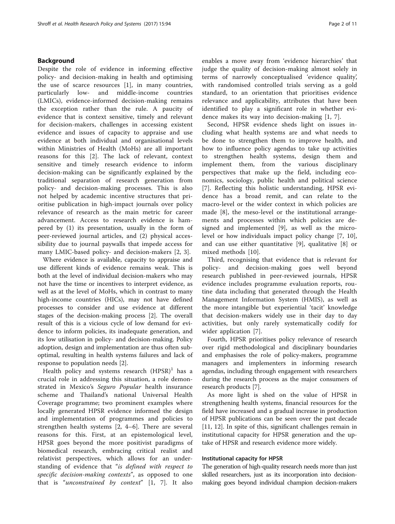## Background

Despite the role of evidence in informing effective policy- and decision-making in health and optimising the use of scarce resources [[1](#page-9-0)], in many countries, particularly low- and middle-income countries (LMICs), evidence-informed decision-making remains the exception rather than the rule. A paucity of evidence that is context sensitive, timely and relevant for decision-makers, challenges in accessing existent evidence and issues of capacity to appraise and use evidence at both individual and organisational levels within Ministries of Health (MoHs) are all important reasons for this [[2\]](#page-9-0). The lack of relevant, context sensitive and timely research evidence to inform decision-making can be significantly explained by the traditional separation of research generation from policy- and decision-making processes. This is also not helped by academic incentive structures that prioritise publication in high-impact journals over policy relevance of research as the main metric for career advancement. Access to research evidence is hampered by (1) its presentation, usually in the form of peer-reviewed journal articles, and (2) physical accessibility due to journal paywalls that impede access for many LMIC-based policy- and decision-makers [[2](#page-9-0), [3](#page-9-0)].

Where evidence is available, capacity to appraise and use different kinds of evidence remains weak. This is both at the level of individual decision-makers who may not have the time or incentives to interpret evidence, as well as at the level of MoHs, which in contrast to many high-income countries (HICs), may not have defined processes to consider and use evidence at different stages of the decision-making process [\[2](#page-9-0)]. The overall result of this is a vicious cycle of low demand for evidence to inform policies, its inadequate generation, and its low utilisation in policy- and decision-making. Policy adoption, design and implementation are thus often suboptimal, resulting in health systems failures and lack of response to population needs [\[2\]](#page-9-0).

Health policy and systems research  $(HPSR)^1$  has a crucial role in addressing this situation, a role demonstrated in Mexico's Seguro Popular health insurance scheme and Thailand's national Universal Health Coverage programme; two prominent examples where locally generated HPSR evidence informed the design and implementation of programmes and policies to strengthen health systems [[2, 4](#page-9-0)–[6\]](#page-9-0). There are several reasons for this. First, at an epistemological level, HPSR goes beyond the more positivist paradigms of biomedical research, embracing critical realist and relativist perspectives, which allows for an understanding of evidence that "is defined with respect to specific decision-making contexts", as opposed to one that is "unconstrained by context"  $[1, 7]$  $[1, 7]$ . It also

enables a move away from 'evidence hierarchies' that judge the quality of decision-making almost solely in terms of narrowly conceptualised 'evidence quality', with randomised controlled trials serving as a gold standard, to an orientation that prioritises evidence relevance and applicability, attributes that have been identified to play a significant role in whether evidence makes its way into decision-making [[1, 7](#page-9-0)].

Second, HPSR evidence sheds light on issues including what health systems are and what needs to be done to strengthen them to improve health, and how to influence policy agendas to take up activities to strengthen health systems, design them and implement them, from the various disciplinary perspectives that make up the field, including economics, sociology, public health and political science [[7\]](#page-9-0). Reflecting this holistic understanding, HPSR evidence has a broad remit, and can relate to the macro-level or the wider context in which policies are made [\[8](#page-9-0)], the meso-level or the institutional arrangements and processes within which policies are designed and implemented [[9\]](#page-9-0), as well as the microlevel or how individuals impact policy change [[7, 10](#page-9-0)], and can use either quantitative [[9\]](#page-9-0), qualitative [\[8\]](#page-9-0) or mixed methods [\[10](#page-9-0)].

Third, recognising that evidence that is relevant for policy- and decision-making goes well beyond research published in peer-reviewed journals, HPSR evidence includes programme evaluation reports, routine data including that generated through the Health Management Information System (HMIS), as well as the more intangible but experiential 'tacit' knowledge that decision-makers widely use in their day to day activities, but only rarely systematically codify for wider application [[7](#page-9-0)].

Fourth, HPSR prioritises policy relevance of research over rigid methodological and disciplinary boundaries and emphasises the role of policy-makers, programme managers and implementers in informing research agendas, including through engagement with researchers during the research process as the major consumers of research products [[7\]](#page-9-0).

As more light is shed on the value of HPSR in strengthening health systems, financial resources for the field have increased and a gradual increase in production of HPSR publications can be seen over the past decade [[11, 12\]](#page-9-0). In spite of this, significant challenges remain in institutional capacity for HPSR generation and the uptake of HPSR and research evidence more widely.

#### Institutional capacity for HPSR

The generation of high-quality research needs more than just skilled researchers, just as its incorporation into decisionmaking goes beyond individual champion decision-makers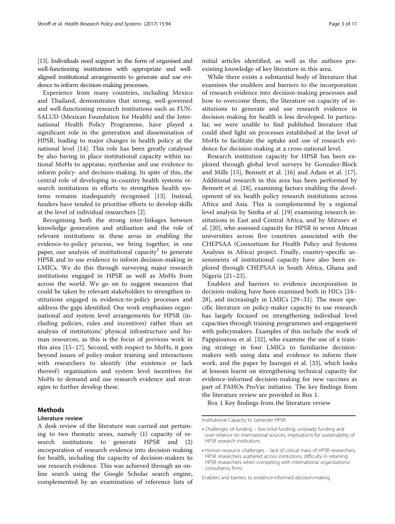[[13\]](#page-9-0). Individuals need support in the form of organised and well-functioning institutions with appropriate and wellaligned institutional arrangements to generate and use evidence to inform decision-making processes.

Experience from many countries, including Mexico and Thailand, demonstrates that strong, well-governed and well-functioning research institutions such as FUN-SALUD (Mexican Foundation for Health) and the International Health Policy Programme, have played a significant role in the generation and dissemination of HPSR, leading to major changes in health policy at the national level [[14\]](#page-9-0). This role has been greatly catalysed by also having in place institutional capacity within national MoHs to appraise, synthesise and use evidence to inform policy- and decision-making. In spite of this, the central role of developing in-country health systems research institutions in efforts to strengthen health systems remains inadequately recognised [\[13](#page-9-0)]. Instead, funders have tended to prioritise efforts to develop skills at the level of individual researchers [[2\]](#page-9-0).

Recognising both the strong inter-linkages between knowledge generation and utilisation and the role of relevant institutions in these areas in enabling the evidence-to-policy process, we bring together, in one paper, our analysis of institutional capacity<sup>2</sup> to generate HPSR and to use evidence to inform decision-making in LMICs. We do this through surveying major research institutions engaged in HPSR as well as MoHs from across the world. We go on to suggest measures that could be taken by relevant stakeholders to strengthen institutions engaged in evidence-to-policy processes and address the gaps identified. Our work emphasises organisational and system level arrangements for HPSR (including policies, rules and incentives) rather than an analysis of institutions' physical infrastructure and human resources, as this is the focus of previous work in this area [\[15](#page-9-0)–[17\]](#page-9-0). Second, with respect to MoHs, it goes beyond issues of policy-maker training and interactions with researchers to identify (the existence or lack thereof) organisation and system level incentives for MoHs to demand and use research evidence and strategies to further develop these.

#### Methods

## Literature review

A desk review of the literature was carried out pertaining to two thematic areas, namely (1) capacity of research institutions to generate HPSR and (2) incorporation of research evidence into decision-making for health, including the capacity of decision-makers to use research evidence. This was achieved through an online search using the Google Scholar search engine, complemented by an examination of reference lists of initial articles identified, as well as the authors preexisting knowledge of key literature in this area.

While there exists a substantial body of literature that examines the enablers and barriers to the incorporation of research evidence into decision-making processes and how to overcome them, the literature on capacity of institutions to generate and use research evidence in decision-making for health is less developed. In particular, we were unable to find published literature that could shed light on processes established at the level of MoHs to facilitate the uptake and use of research evidence for decision-making at a cross-national level.

Research institution capacity for HPSR has been explored through global level surveys by Gonzalez-Block and Mills [[15\]](#page-9-0), Bennett et al. [\[16](#page-9-0)] and Adam et al. [\[17](#page-9-0)]. Additional research in this area has been performed by Bennett et al. [[18\]](#page-10-0), examining factors enabling the development of six health policy research institutions across Africa and Asia. This is complemented by a regional level analysis by Simba et al. [\[19\]](#page-10-0) examining research institutions in East and Central Africa, and by Mirzoev et al. [[20\]](#page-10-0), who assessed capacity for HPSR in seven African universities across five countries associated with the CHEPSAA (Consortium for Health Policy and Systems Analysis in Africa) project. Finally, country-specific assessments of institutional capacity have also been explored through CHEPSAA in South Africa, Ghana and Nigeria [[21](#page-10-0)–[23](#page-10-0)].

Enablers and barriers to evidence incorporation in decision-making have been examined both in HICs [[24](#page-10-0)– [28\]](#page-10-0), and increasingly in LMICs [[29](#page-10-0)–[31](#page-10-0)]. The more specific literature on policy-maker capacity to use research has largely focused on strengthening individual level capacities through training programmes and engagement with policymakers. Examples of this include the work of Pappaioanou et al. [\[32\]](#page-10-0), who examine the use of a training strategy in four LMICs to familiarise decisionmakers with using data and evidence to inform their work, and the paper by Jauregui et al. [\[33\]](#page-10-0), which looks at lessons learnt on strengthening technical capacity for evidence-informed decision-making for new vaccines as part of PAHOs ProVac initiative. The key findings from the literature review are provided in Box 1.

Box 1 Key findings from the literature review

Enablers and barriers to evidence-informed decision-making

Institutional Capacity to Generate HPSR

<sup>•</sup> Challenges of funding – low total funding; unsteady funding and over-reliance on international sources, implications for sustainability of HPSR research institutions

<sup>•</sup> Human resource challenges – lack of critical mass of HPSR researchers; HPSR researchers scattered across institutions; difficulty in retaining HPSR researchers when competing with international organisations/ consultancy firms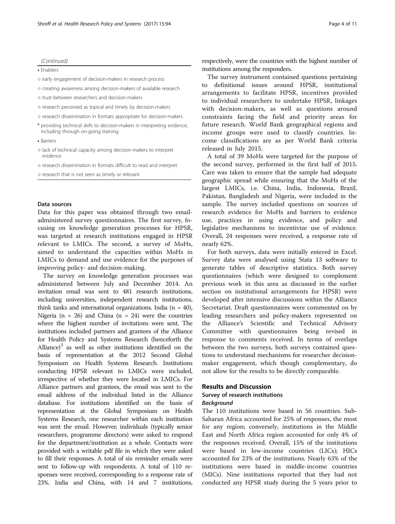| (Continued) |  |
|-------------|--|
|             |  |
|             |  |

○ early engagement of decision-makers in research process

○ creating awareness among decision-makers of available research

- trust between researchers and decision-makers
- research perceived as topical and timely by decision-makers
- research dissemination in formats appropriate for decision-makers
- ° providing technical skills to decision-makers in interpreting evidence, including through on-going training
- Barriers
- lack of technical capacity among decision-makers to interpret evidence
- research dissemination in formats difficult to read and interpret

○ research that is not seen as timely or relevant

#### Data sources

Data for this paper was obtained through two emailadministered survey questionnaires. The first survey, focusing on knowledge generation processes for HPSR, was targeted at research institutions engaged in HPSR relevant to LMICs. The second, a survey of MoHs, aimed to understand the capacities within MoHs in LMICs to demand and use evidence for the purposes of improving policy- and decision-making.

The survey on knowledge generation processes was administered between July and December 2014. An invitation email was sent to 481 research institutions, including universities, independent research institutions, think tanks and international organizations. India ( $n = 40$ ), Nigeria ( $n = 26$ ) and China ( $n = 24$ ) were the countries where the highest number of invitations were sent. The institutions included partners and grantees of the Alliance for Health Policy and Systems Research (henceforth the Alliance) $3$  as well as other institutions identified on the basis of representation at the 2012 Second Global Symposium on Health Systems Research. Institutions conducting HPSR relevant to LMICs were included, irrespective of whether they were located in LMICs. For Alliance partners and grantees, the email was sent to the email address of the individual listed in the Alliance database. For institutions identified on the basis of representation at the Global Symposium on Health Systems Research, one researcher within each institution was sent the email. However, individuals (typically senior researchers, programme directors) were asked to respond for the department/institution as a whole. Contacts were provided with a writable pdf file in which they were asked to fill their responses. A total of six reminder emails were sent to follow-up with respondents. A total of 110 responses were received, corresponding to a response rate of 23%. India and China, with 14 and 7 institutions,

respectively, were the countries with the highest number of institutions among the responders.

The survey instrument contained questions pertaining to definitional issues around HPSR, institutional arrangements to facilitate HPSR, incentives provided to individual researchers to undertake HPSR, linkages with decision-makers, as well as questions around constraints facing the field and priority areas for future research. World Bank geographical regions and income groups were used to classify countries. Income classifications are as per World Bank criteria released in July 2015.

A total of 39 MoHs were targeted for the purpose of the second survey, performed in the first half of 2015. Care was taken to ensure that the sample had adequate geographic spread while ensuring that the MoHs of the largest LMICs, i.e. China, India, Indonesia, Brazil, Pakistan, Bangladesh and Nigeria, were included in the sample. The survey included questions on sources of research evidence for MoHs and barriers to evidence use, practices in using evidence, and policy and legislative mechanisms to incentivize use of evidence. Overall, 24 responses were received, a response rate of nearly 62%.

For both surveys, data were initially entered in Excel. Survey data were analysed using Stata 13 software to generate tables of descriptive statistics. Both survey questionnaires (which were designed to complement previous work in this area as discussed in the earlier section on institutional arrangements for HPSR) were developed after intensive discussions within the Alliance Secretariat. Draft questionnaires were commented on by leading researchers and policy-makers represented on the Alliance's Scientific and Technical Advisory Committee with questionnaires being revised in response to comments received. In terms of overlaps between the two surveys, both surveys contained questions to understand mechanisms for researcher decisionmaker engagement, which though complementary, do not allow for the results to be directly comparable.

#### Results and Discussion

## Survey of research institutions Background

The 110 institutions were based in 56 countries. Sub-Saharan Africa accounted for 25% of responses, the most for any region; conversely, institutions in the Middle East and North Africa region accounted for only 4% of the responses received. Overall, 15% of the institutions were based in low-income countries (LICs); HICs accounted for 23% of the institutions. Nearly 63% of the institutions were based in middle-income countries (MICs). Nine institutions reported that they had not conducted any HPSR study during the 5 years prior to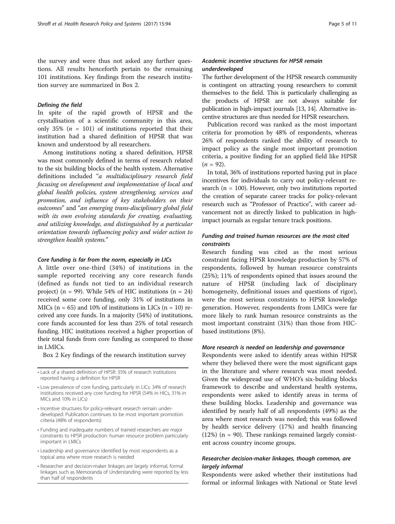the survey and were thus not asked any further questions. All results henceforth pertain to the remaining 101 institutions. Key findings from the research institution survey are summarized in Box 2.

#### Defining the field

In spite of the rapid growth of HPSR and the crystallisation of a scientific community in this area, only 35% ( $n = 101$ ) of institutions reported that their institution had a shared definition of HPSR that was known and understood by all researchers.

Among institutions noting a shared definition, HPSR was most commonly defined in terms of research related to the six building blocks of the health system. Alternative definitions included "a multidisciplinary research field focusing on development and implementation of local and global health policies, system strengthening, services and promotion, and influence of key stakeholders on their outcomes" and "an emerging trans-disciplinary global field with its own evolving standards for creating, evaluating, and utilizing knowledge, and distinguished by a particular orientation towards influencing policy and wider action to strengthen health systems."

#### Core funding is far from the norm, especially in LICs

A little over one-third (34%) of institutions in the sample reported receiving any core research funds (defined as funds not tied to an individual research project) (n = 99). While 54% of HIC institutions (n = 24) received some core funding, only 31% of institutions in MICs ( $n = 65$ ) and 10% of institutions in LICs ( $n = 10$ ) received any core funds. In a majority (54%) of institutions, core funds accounted for less than 25% of total research funding. HIC institutions received a higher proportion of their total funds from core funding as compared to those in LMICs.

Box 2 Key findings of the research institution survey

• Lack of a shared definition of HPSR: 35% of research institutions reported having a definition for HPSR

- Low prevalence of core funding, particularly in LICs: 34% of research institutions received any core funding for HPSR (54% in HICs, 31% in MICs and 10% in LICs)
- Incentive structures for policy-relevant research remain underdeveloped: Publication continues to be most important promotion criteria (48% of respondents)
- Funding and inadequate numbers of trained researchers are major constraints to HPSR production: human resource problem particularly important in LMICs
- Leadership and governance identified by most respondents as a topical area where more research is needed
- Researcher and decision-maker linkages are largely informal, formal linkages such as Memoranda of Understanding were reported by less than half of respondents

## Academic incentive structures for HPSR remain underdeveloped

The further development of the HPSR research community is contingent on attracting young researchers to commit themselves to the field. This is particularly challenging as the products of HPSR are not always suitable for publication in high-impact journals [[13, 14](#page-9-0)]. Alternative incentive structures are thus needed for HPSR researchers.

Publication record was ranked as the most important criteria for promotion by 48% of respondents, whereas 26% of respondents ranked the ability of research to impact policy as the single most important promotion criteria, a positive finding for an applied field like HPSR  $(n = 92)$ .

In total, 36% of institutions reported having put in place incentives for individuals to carry out policy-relevant research ( $n = 100$ ). However, only two institutions reported the creation of separate career tracks for policy-relevant research such as "Professor of Practice", with career advancement not as directly linked to publication in highimpact journals as regular tenure track positions.

## Funding and trained human resources are the most cited constraints

Research funding was cited as the most serious constraint facing HPSR knowledge production by 57% of respondents, followed by human resource constraints (25%); 11% of respondents opined that issues around the nature of HPSR (including lack of disciplinary homogeneity, definitional issues and questions of rigor), were the most serious constraints to HPSR knowledge generation. However, respondents from LMICs were far more likely to rank human resource constraints as the most important constraint (31%) than those from HICbased institutions (8%).

#### More research is needed on leadership and governance

Respondents were asked to identify areas within HPSR where they believed there were the most significant gaps in the literature and where research was most needed. Given the widespread use of WHO's six-building blocks framework to describe and understand health systems, respondents were asked to identify areas in terms of these building blocks. Leadership and governance was identified by nearly half of all respondents (49%) as the area where most research was needed; this was followed by health service delivery (17%) and health financing  $(12%)$  (n = 90). These rankings remained largely consistent across country income groups.

## Researcher decision-maker linkages, though common, are largely informal

Respondents were asked whether their institutions had formal or informal linkages with National or State level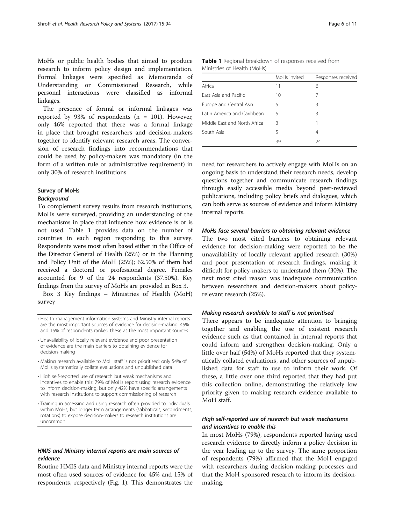MoHs or public health bodies that aimed to produce research to inform policy design and implementation. Formal linkages were specified as Memoranda of Understanding or Commissioned Research, while personal interactions were classified as informal linkages.

The presence of formal or informal linkages was reported by 93% of respondents  $(n = 101)$ . However, only 46% reported that there was a formal linkage in place that brought researchers and decision-makers together to identify relevant research areas. The conversion of research findings into recommendations that could be used by policy-makers was mandatory (in the form of a written rule or administrative requirement) in only 30% of research institutions

## Survey of MoHs

#### **Background**

To complement survey results from research institutions, MoHs were surveyed, providing an understanding of the mechanisms in place that influence how evidence is or is not used. Table 1 provides data on the number of countries in each region responding to this survey. Respondents were most often based either in the Office of the Director General of Health (25%) or in the Planning and Policy Unit of the MoH (25%); 62.50% of them had received a doctoral or professional degree. Females accounted for 9 of the 24 respondents (37.50%). Key findings from the survey of MoHs are provided in Box 3.

Box 3 Key findings – Ministries of Health (MoH) survey

- Health management information systems and Ministry internal reports are the most important sources of evidence for decision-making: 45% and 15% of respondents ranked these as the most important sources
- Unavailability of locally relevant evidence and poor presentation of evidence are the main barriers to obtaining evidence for decision-making
- Making research available to MoH staff is not prioritised: only 54% of MoHs systematically collate evaluations and unpublished data
- High self-reported use of research but weak mechanisms and incentives to enable this: 79% of MoHs report using research evidence to inform decision-making, but only 42% have specific arrangements with research institutions to support commissioning of research
- Training in accessing and using research often provided to individuals within MoHs, but longer term arrangements (sabbaticals, secondments, rotations) to expose decision-makers to research institutions are uncommon

## HMIS and Ministry internal reports are main sources of evidence

Routine HMIS data and Ministry internal reports were the most often used sources of evidence for 45% and 15% of respondents, respectively (Fig. [1\)](#page-6-0). This demonstrates the

Table 1 Regional breakdown of responses received from Ministries of Health (MoHs)

|                              | MoHs invited | Responses received |
|------------------------------|--------------|--------------------|
| Africa                       | 11           | 6                  |
| East Asia and Pacific        | $10 \,$      | 7                  |
| Europe and Central Asia      | 5            | 3                  |
| Latin America and Caribbean  | 5            | 3                  |
| Middle Fast and North Africa | ζ            |                    |
| South Asia                   | 5            | 4                  |
|                              | 39           | 24                 |
|                              |              |                    |

need for researchers to actively engage with MoHs on an ongoing basis to understand their research needs, develop questions together and communicate research findings through easily accessible media beyond peer-reviewed publications, including policy briefs and dialogues, which can both serve as sources of evidence and inform Ministry internal reports.

#### MoHs face several barriers to obtaining relevant evidence

The two most cited barriers to obtaining relevant evidence for decision-making were reported to be the unavailability of locally relevant applied research (30%) and poor presentation of research findings, making it difficult for policy-makers to understand them (30%). The next most cited reason was inadequate communication between researchers and decision-makers about policyrelevant research (25%).

#### Making research available to staff is not prioritised

There appears to be inadequate attention to bringing together and enabling the use of existent research evidence such as that contained in internal reports that could inform and strengthen decision-making. Only a little over half (54%) of MoHs reported that they systematically collated evaluations, and other sources of unpublished data for staff to use to inform their work. Of these, a little over one third reported that they had put this collection online, demonstrating the relatively low priority given to making research evidence available to MoH staff.

## High self-reported use of research but weak mechanisms and incentives to enable this

In most MoHs (79%), respondents reported having used research evidence to directly inform a policy decision in the year leading up to the survey. The same proportion of respondents (79%) affirmed that the MoH engaged with researchers during decision-making processes and that the MoH sponsored research to inform its decisionmaking.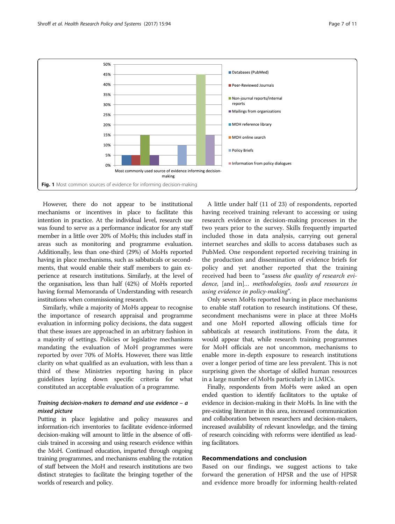<span id="page-6-0"></span>

However, there do not appear to be institutional mechanisms or incentives in place to facilitate this intention in practice. At the individual level, research use was found to serve as a performance indicator for any staff member in a little over 20% of MoHs; this includes staff in areas such as monitoring and programme evaluation. Additionally, less than one-third (29%) of MoHs reported having in place mechanisms, such as sabbaticals or secondments, that would enable their staff members to gain experience at research institutions. Similarly, at the level of the organisation, less than half (42%) of MoHs reported having formal Memoranda of Understanding with research institutions when commissioning research.

Similarly, while a majority of MoHs appear to recognise the importance of research appraisal and programme evaluation in informing policy decisions, the data suggest that these issues are approached in an arbitrary fashion in a majority of settings. Policies or legislative mechanisms mandating the evaluation of MoH programmes were reported by over 70% of MoHs. However, there was little clarity on what qualified as an evaluation, with less than a third of these Ministries reporting having in place guidelines laying down specific criteria for what constituted an acceptable evaluation of a programme.

## Training decision-makers to demand and use evidence – a mixed picture

Putting in place legislative and policy measures and information-rich inventories to facilitate evidence-informed decision-making will amount to little in the absence of officials trained in accessing and using research evidence within the MoH. Continued education, imparted through ongoing training programmes, and mechanisms enabling the rotation of staff between the MoH and research institutions are two distinct strategies to facilitate the bringing together of the worlds of research and policy.

A little under half (11 of 23) of respondents, reported having received training relevant to accessing or using research evidence in decision-making processes in the two years prior to the survey. Skills frequently imparted included those in data analysis, carrying out general internet searches and skills to access databases such as PubMed. One respondent reported receiving training in the production and dissemination of evidence briefs for policy and yet another reported that the training received had been to "assess the quality of research evidence, [and in]… methodologies, tools and resources in using evidence in policy-making".

Only seven MoHs reported having in place mechanisms to enable staff rotation to research institutions. Of these, secondment mechanisms were in place at three MoHs and one MoH reported allowing officials time for sabbaticals at research institutions. From the data, it would appear that, while research training programmes for MoH officials are not uncommon, mechanisms to enable more in-depth exposure to research institutions over a longer period of time are less prevalent. This is not surprising given the shortage of skilled human resources in a large number of MoHs particularly in LMICs.

Finally, respondents from MoHs were asked an open ended question to identify facilitators to the uptake of evidence in decision-making in their MoHs. In line with the pre-existing literature in this area, increased communication and collaboration between researchers and decision-makers, increased availability of relevant knowledge, and the timing of research coinciding with reforms were identified as leading facilitators.

## Recommendations and conclusion

Based on our findings, we suggest actions to take forward the generation of HPSR and the use of HPSR and evidence more broadly for informing health-related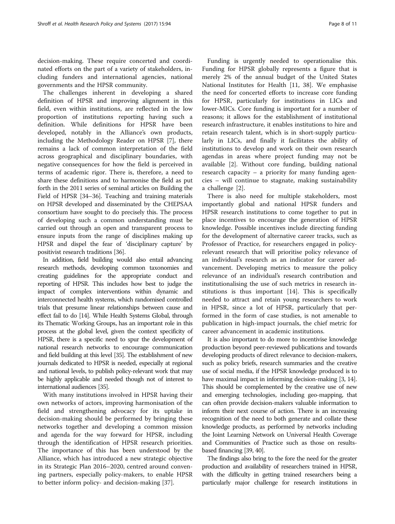decision-making. These require concerted and coordinated efforts on the part of a variety of stakeholders, including funders and international agencies, national governments and the HPSR community.

The challenges inherent in developing a shared definition of HPSR and improving alignment in this field, even within institutions, are reflected in the low proportion of institutions reporting having such a definition. While definitions for HPSR have been developed, notably in the Alliance's own products, including the Methodology Reader on HPSR [[7\]](#page-9-0), there remains a lack of common interpretation of the field across geographical and disciplinary boundaries, with negative consequences for how the field is perceived in terms of academic rigor. There is, therefore, a need to share these definitions and to harmonise the field as put forth in the 2011 series of seminal articles on Building the Field of HPSR [[34](#page-10-0)–[36\]](#page-10-0). Teaching and training materials on HPSR developed and disseminated by the CHEPSAA consortium have sought to do precisely this. The process of developing such a common understanding must be carried out through an open and transparent process to ensure inputs from the range of disciplines making up HPSR and dispel the fear of 'disciplinary capture' by positivist research traditions [[36](#page-10-0)].

In addition, field building would also entail advancing research methods, developing common taxonomies and creating guidelines for the appropriate conduct and reporting of HPSR. This includes how best to judge the impact of complex interventions within dynamic and interconnected health systems, which randomised controlled trials that presume linear relationships between cause and effect fail to do [\[14](#page-9-0)]. While Health Systems Global, through its Thematic Working Groups, has an important role in this process at the global level, given the context specificity of HPSR, there is a specific need to spur the development of national research networks to encourage communication and field building at this level [[35\]](#page-10-0). The establishment of new journals dedicated to HPSR is needed, especially at regional and national levels, to publish policy-relevant work that may be highly applicable and needed though not of interest to international audiences [[35\]](#page-10-0).

With many institutions involved in HPSR having their own networks of actors, improving harmonisation of the field and strengthening advocacy for its uptake in decision-making should be performed by bringing these networks together and developing a common mission and agenda for the way forward for HPSR, including through the identification of HPSR research priorities. The importance of this has been understood by the Alliance, which has introduced a new strategic objective in its Strategic Plan 2016–2020, centred around convening partners, especially policy-makers, to enable HPSR to better inform policy- and decision-making [[37](#page-10-0)].

Funding is urgently needed to operationalise this. Funding for HPSR globally represents a figure that is merely 2% of the annual budget of the United States National Institutes for Health [\[11,](#page-9-0) [38\]](#page-10-0). We emphasise the need for concerted efforts to increase core funding for HPSR, particularly for institutions in LICs and lower-MICs. Core funding is important for a number of reasons; it allows for the establishment of institutional research infrastructure, it enables institutions to hire and retain research talent, which is in short-supply particularly in LICs, and finally it facilitates the ability of institutions to develop and work on their own research agendas in areas where project funding may not be available [\[2](#page-9-0)]. Without core funding, building national research capacity – a priority for many funding agencies – will continue to stagnate, making sustainability a challenge [\[2](#page-9-0)].

There is also need for multiple stakeholders, most importantly global and national HPSR funders and HPSR research institutions to come together to put in place incentives to encourage the generation of HPSR knowledge. Possible incentives include directing funding for the development of alternative career tracks, such as Professor of Practice, for researchers engaged in policyrelevant research that will prioritise policy relevance of an individual's research as an indicator for career advancement. Developing metrics to measure the policy relevance of an individual's research contribution and institutionalising the use of such metrics in research institutions is thus important [[14\]](#page-9-0). This is specifically needed to attract and retain young researchers to work in HPSR, since a lot of HPSR, particularly that performed in the form of case studies, is not amenable to publication in high-impact journals, the chief metric for career advancement in academic institutions.

It is also important to do more to incentivise knowledge production beyond peer-reviewed publications and towards developing products of direct relevance to decision-makers, such as policy briefs, research summaries and the creative use of social media, if the HPSR knowledge produced is to have maximal impact in informing decision-making [\[3](#page-9-0), [14](#page-9-0)]. This should be complemented by the creative use of new and emerging technologies, including geo-mapping, that can often provide decision-makers valuable information to inform their next course of action. There is an increasing recognition of the need to both generate and collate these knowledge products, as performed by networks including the Joint Learning Network on Universal Health Coverage and Communities of Practice such as those on resultsbased financing [\[39, 40\]](#page-10-0).

The findings also bring to the fore the need for the greater production and availability of researchers trained in HPSR, with the difficulty in getting trained researchers being a particularly major challenge for research institutions in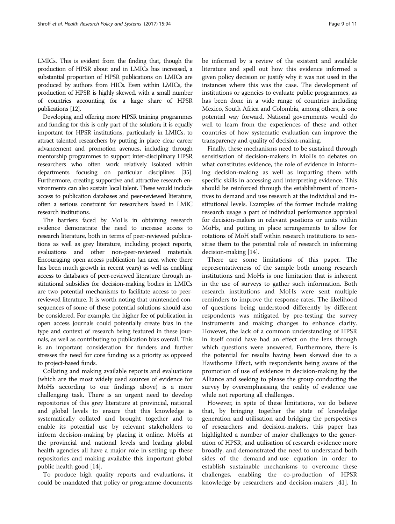LMICs. This is evident from the finding that, though the production of HPSR about and in LMICs has increased, a substantial proportion of HPSR publications on LMICs are produced by authors from HICs. Even within LMICs, the production of HPSR is highly skewed, with a small number of countries accounting for a large share of HPSR publications [\[12\]](#page-9-0).

Developing and offering more HPSR training programmes and funding for this is only part of the solution; it is equally important for HPSR institutions, particularly in LMICs, to attract talented researchers by putting in place clear career advancement and promotion avenues, including through mentorship programmes to support inter-disciplinary HPSR researchers who often work relatively isolated within departments focusing on particular disciplines [\[35\]](#page-10-0). Furthermore, creating supportive and attractive research environments can also sustain local talent. These would include access to publication databases and peer-reviewed literature, often a serious constraint for researchers based in LMIC research institutions.

The barriers faced by MoHs in obtaining research evidence demonstrate the need to increase access to research literature, both in terms of peer-reviewed publications as well as grey literature, including project reports, evaluations and other non-peer-reviewed materials. Encouraging open access publication (an area where there has been much growth in recent years) as well as enabling access to databases of peer-reviewed literature through institutional subsidies for decision-making bodies in LMICs are two potential mechanisms to facilitate access to peerreviewed literature. It is worth noting that unintended consequences of some of these potential solutions should also be considered. For example, the higher fee of publication in open access journals could potentially create bias in the type and context of research being featured in these journals, as well as contributing to publication bias overall. This is an important consideration for funders and further stresses the need for core funding as a priority as opposed to project-based funds.

Collating and making available reports and evaluations (which are the most widely used sources of evidence for MoHs according to our findings above) is a more challenging task. There is an urgent need to develop repositories of this grey literature at provincial, national and global levels to ensure that this knowledge is systematically collated and brought together and to enable its potential use by relevant stakeholders to inform decision-making by placing it online. MoHs at the provincial and national levels and leading global health agencies all have a major role in setting up these repositories and making available this important global public health good [\[14\]](#page-9-0).

To produce high quality reports and evaluations, it could be mandated that policy or programme documents

be informed by a review of the existent and available literature and spell out how this evidence informed a given policy decision or justify why it was not used in the instances where this was the case. The development of institutions or agencies to evaluate public programmes, as has been done in a wide range of countries including Mexico, South Africa and Colombia, among others, is one potential way forward. National governments would do well to learn from the experiences of these and other countries of how systematic evaluation can improve the transparency and quality of decision-making.

Finally, these mechanisms need to be sustained through sensitisation of decision-makers in MoHs to debates on what constitutes evidence, the role of evidence in informing decision-making as well as imparting them with specific skills in accessing and interpreting evidence. This should be reinforced through the establishment of incentives to demand and use research at the individual and institutional levels. Examples of the former include making research usage a part of individual performance appraisal for decision-makers in relevant positions or units within MoHs, and putting in place arrangements to allow for rotations of MoH staff within research institutions to sensitise them to the potential role of research in informing decision-making [\[14](#page-9-0)].

There are some limitations of this paper. The representativeness of the sample both among research institutions and MoHs is one limitation that is inherent in the use of surveys to gather such information. Both research institutions and MoHs were sent multiple reminders to improve the response rates. The likelihood of questions being understood differently by different respondents was mitigated by pre-testing the survey instruments and making changes to enhance clarity. However, the lack of a common understanding of HPSR in itself could have had an effect on the lens through which questions were answered. Furthermore, there is the potential for results having been skewed due to a Hawthorne Effect, with respondents being aware of the promotion of use of evidence in decision-making by the Alliance and seeking to please the group conducting the survey by overemphasising the reality of evidence use while not reporting all challenges.

However, in spite of these limitations, we do believe that, by bringing together the state of knowledge generation and utilisation and bridging the perspectives of researchers and decision-makers, this paper has highlighted a number of major challenges to the generation of HPSR, and utilisation of research evidence more broadly, and demonstrated the need to understand both sides of the demand-and-use equation in order to establish sustainable mechanisms to overcome these challenges, enabling the co-production of HPSR knowledge by researchers and decision-makers [\[41](#page-10-0)]. In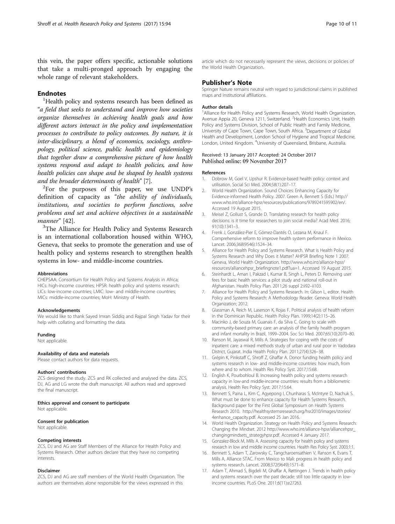<span id="page-9-0"></span>this vein, the paper offers specific, actionable solutions that take a multi-pronged approach by engaging the whole range of relevant stakeholders.

## **Endnotes**

<sup>1</sup>Health policy and systems research has been defined as "a field that seeks to understand and improve how societies organize themselves in achieving health goals and how different actors interact in the policy and implementation processes to contribute to policy outcomes. By nature, it is inter-disciplinary, a blend of economics, sociology, anthropology, political science, public health and epidemiology that together draw a comprehensive picture of how health systems respond and adapt to health policies, and how health policies can shape and be shaped by health systems and the broader determinants of health" [7].

 $2$ For the purposes of this paper, we use UNDP's definition of capacity as "the ability of individuals, institutions, and societies to perform functions, solve problems and set and achieve objectives in a sustainable manner" [[42\]](#page-10-0).

<sup>3</sup>The Alliance for Health Policy and Systems Research is an international collaboration housed within WHO, Geneva, that seeks to promote the generation and use of health policy and systems research to strengthen health systems in low- and middle-income countries.

#### Abbreviations

CHEPSAA: Consortium for Health Policy and Systems Analysis in Africa; HICs: high-income countries; HPSR: health policy and systems research; LICs: low-income countries; LMIC: low- and middle-income countries; MICs: middle-income countries; MoH: Ministry of Health.

#### Acknowledgements

We would like to thank Sayed Imran Siddiq and Rajpal Singh Yadav for their help with collating and formatting the data.

#### Funding

Not applicable.

#### Availability of data and materials

Please contact authors for data requests.

#### Authors' contributions

ZCS designed the study. ZCS and RK collected and analysed the data. ZCS, DJ, AG and LG wrote the draft manuscript. All authors read and approved the final manuscript.

#### Ethics approval and consent to participate

Not applicable.

#### Consent for publication

Not applicable.

#### Competing interests

ZCS, DJ and AG are Staff Members of the Alliance for Health Policy and Systems Research. Other authors declare that they have no competing interests.

#### Disclaimer

ZCS, DJ and AG are staff members of the World Health Organization. The authors are themselves alone responsible for the views expressed in this

article which do not necessarily represent the views, decisions or policies of the World Health Organization.

#### Publisher's Note

Springer Nature remains neutral with regard to jurisdictional claims in published maps and institutional affiliations.

#### Author details

<sup>1</sup> Alliance for Health Policy and Systems Research, World Health Organization Avenue Appia 20, Geneva 1211, Switzerland. <sup>2</sup> Health Economics Unit, Health Policy and Systems Division, School of Public Health and Family Medicine, University of Cape Town, Cape Town, South Africa. <sup>3</sup>Department of Global Health and Development, London School of Hygiene and Tropical Medicine, London, United Kingdom. <sup>4</sup>University of Queensland, Brisbane, Australia

#### Received: 13 January 2017 Accepted: 24 October 2017 Published online: 09 November 2017

#### References

- 1. Dobrow M, Goel V, Upshur R. Evidence-based health policy: context and utilisation. Social Sci Med. 2004;58(1):207–17.
- 2. World Health Organization. Sound Choices: Enhancing Capacity for Evidence-informed Health Policy. 2007. Green A, Bennett S (Eds.) [http://](http://www.who.int/alliance-hpsr/resources/publications/9789241595902/en/) [www.who.int/alliance-hpsr/resources/publications/9789241595902/en/.](http://www.who.int/alliance-hpsr/resources/publications/9789241595902/en/) Accessed 19 August 2015.
- 3. Meisel Z, Gollust S, Grande D. Translating research for health policy decisions: is it time for researchers to join social media? Acad Med. 2016; 91(10):1341–3.
- 4. Frenk J, González-Pier E, Gómez-Dantés O, Lezana M, Knaul F. Comprehensive reform to improve health system performance in Mexico. Lancet. 2006;368(9546):1524–34.
- 5. Alliance for Health Policy and Systems Research. What is Health Policy and Systems Research and Why Does it Matter? AHPSR Briefing Note 1 2007. Geneva, World Health Organization. [http://www.who.int/alliance-hpsr/](http://www.who.int/alliance-hpsr/resources/alliancehpsr_briefingnote1.pdf?ua=1) [resources/alliancehpsr\\_briefingnote1.pdf?ua=1](http://www.who.int/alliance-hpsr/resources/alliancehpsr_briefingnote1.pdf?ua=1). Accessed 19 August 2015.
- 6. Steinhardt L, Aman I, Pakzad I, Kumar B, Singh L, Peters D. Removing user fees for basic health services: a pilot study and national roll-out in Afghanistan. Health Policy Plan. 2011;26 suppl 2:ii92–ii103.
- 7. Alliance for Health Policy and Systems Research. In: Gilson L, editor. Health Policy and Systems Research: A Methodology Reader. Geneva: World Health Organization; 2012.
- 8. Glassman A, Reich M, Laserson K, Rojas F. Political analysis of health reform in the Dominican Republic. Health Policy Plan. 1999;14(2):115–26.
- 9. Macinko J, de Souza M, Guanais F, da Silva C. Going to scale with community-based primary care: an analysis of the family health program and infant mortality in Brazil, 1999–2004. Soc Sci Med. 2007;65(10):2070–80.
- 10. Ranson M, Jayaswal R, Mills A. Strategies for coping with the costs of inpatient care: a mixed methods study of urban and rural poor in Vadodara District, Gujarat. India Health Policy Plan. 2011;27(4):326–38.
- 11. Grépin K, Pinkstaff C, Shroff Z, Ghaffar A. Donor funding health policy and systems research in low- and middle-income countries: how much, from where and to whom. Health Res Policy Syst. 2017;15:68.
- 12. English K, Pourbohloul B. Increasing health policy and systems research capacity in low-and middle-income countries: results from a bibliometric analysis. Health Res Policy Syst. 2017;15:64.
- 13. Bennett S, Paina L, Kim C, Agyepong I, Chunharas S, McIntyre D, Nachuk S. What must be done to enhance capacity for Health Systems Research. Background paper for the First Global Symposium on Health Systems Research 2010. [http://healthsystemsresearch.org/hsr2010/images/stories/](http://healthsystemsresearch.org/hsr2010/images/stories/4enhance_capacity.pdf) [4enhance\\_capacity.pdf](http://healthsystemsresearch.org/hsr2010/images/stories/4enhance_capacity.pdf). Accessed 25 Jan 2016.
- 14. World Health Organization. Strategy on Health Policy and Systems Research: Changing the Mindset. 2012 [http://www.who.int/alliance-hpsr/alliancehpsr\\_](http://www.who.int/alliance-hpsr/alliancehpsr_changingmindsets_strategyhpsr.pdf) [changingmindsets\\_strategyhpsr.pdf](http://www.who.int/alliance-hpsr/alliancehpsr_changingmindsets_strategyhpsr.pdf). Accessed 4 January 2017.
- 15. Gonzalez-Block M, Mills A. Assessing capacity for health policy and systems research in low and middle income countries. Health Res Policy Syst. 2003;1:1.
- 16. Bennett S, Adam T, Zarowsky C, Tangcharoensathien V, Ranson K, Evans T, Mills A, Alliance STAC. From Mexico to Mali: progress in health policy and systems research. Lancet. 2008;372(9649):1571–8.
- 17. Adam T, Ahmad S, Bigdeli M, Ghaffar A, Røttingen J. Trends in health policy and systems research over the past decade: still too little capacity in lowincome countries. PLoS One. 2011;6(11):e27263.